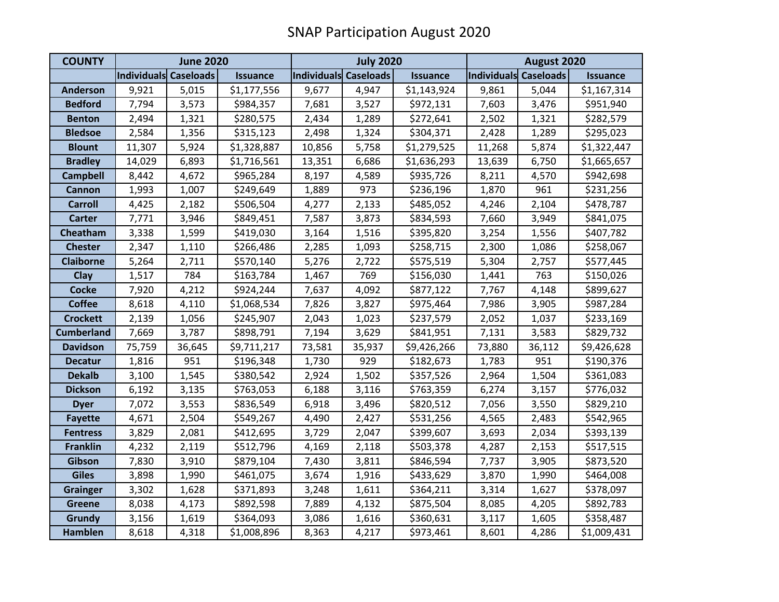| <b>COUNTY</b>     | <b>June 2020</b>      |        |                 | <b>July 2020</b>      |        |                 | August 2020           |        |                 |
|-------------------|-----------------------|--------|-----------------|-----------------------|--------|-----------------|-----------------------|--------|-----------------|
|                   | Individuals Caseloads |        | <b>Issuance</b> | Individuals Caseloads |        | <b>Issuance</b> | Individuals Caseloads |        | <b>Issuance</b> |
| <b>Anderson</b>   | 9,921                 | 5,015  | \$1,177,556     | 9,677                 | 4,947  | \$1,143,924     | 9,861                 | 5,044  | \$1,167,314     |
| <b>Bedford</b>    | 7,794                 | 3,573  | \$984,357       | 7,681                 | 3,527  | \$972,131       | 7,603                 | 3,476  | \$951,940       |
| <b>Benton</b>     | 2,494                 | 1,321  | \$280,575       | 2,434                 | 1,289  | \$272,641       | 2,502                 | 1,321  | \$282,579       |
| <b>Bledsoe</b>    | 2,584                 | 1,356  | \$315,123       | 2,498                 | 1,324  | \$304,371       | 2,428                 | 1,289  | \$295,023       |
| <b>Blount</b>     | 11,307                | 5,924  | \$1,328,887     | 10,856                | 5,758  | \$1,279,525     | 11,268                | 5,874  | \$1,322,447     |
| <b>Bradley</b>    | 14,029                | 6,893  | \$1,716,561     | 13,351                | 6,686  | \$1,636,293     | 13,639                | 6,750  | \$1,665,657     |
| <b>Campbell</b>   | 8,442                 | 4,672  | \$965,284       | 8,197                 | 4,589  | \$935,726       | 8,211                 | 4,570  | \$942,698       |
| <b>Cannon</b>     | 1,993                 | 1,007  | \$249,649       | 1,889                 | 973    | \$236,196       | 1,870                 | 961    | \$231,256       |
| <b>Carroll</b>    | 4,425                 | 2,182  | \$506,504       | 4,277                 | 2,133  | \$485,052       | 4,246                 | 2,104  | \$478,787       |
| <b>Carter</b>     | 7,771                 | 3,946  | \$849,451       | 7,587                 | 3,873  | \$834,593       | 7,660                 | 3,949  | \$841,075       |
| Cheatham          | 3,338                 | 1,599  | \$419,030       | 3,164                 | 1,516  | \$395,820       | 3,254                 | 1,556  | \$407,782       |
| <b>Chester</b>    | 2,347                 | 1,110  | \$266,486       | 2,285                 | 1,093  | \$258,715       | 2,300                 | 1,086  | \$258,067       |
| <b>Claiborne</b>  | 5,264                 | 2,711  | \$570,140       | 5,276                 | 2,722  | \$575,519       | 5,304                 | 2,757  | \$577,445       |
| Clay              | 1,517                 | 784    | \$163,784       | 1,467                 | 769    | \$156,030       | 1,441                 | 763    | \$150,026       |
| <b>Cocke</b>      | 7,920                 | 4,212  | \$924,244       | 7,637                 | 4,092  | \$877,122       | 7,767                 | 4,148  | \$899,627       |
| <b>Coffee</b>     | 8,618                 | 4,110  | \$1,068,534     | 7,826                 | 3,827  | \$975,464       | 7,986                 | 3,905  | \$987,284       |
| <b>Crockett</b>   | 2,139                 | 1,056  | \$245,907       | 2,043                 | 1,023  | \$237,579       | 2,052                 | 1,037  | \$233,169       |
| <b>Cumberland</b> | 7,669                 | 3,787  | \$898,791       | 7,194                 | 3,629  | \$841,951       | 7,131                 | 3,583  | \$829,732       |
| <b>Davidson</b>   | 75,759                | 36,645 | \$9,711,217     | 73,581                | 35,937 | \$9,426,266     | 73,880                | 36,112 | \$9,426,628     |
| <b>Decatur</b>    | 1,816                 | 951    | \$196,348       | 1,730                 | 929    | \$182,673       | 1,783                 | 951    | \$190,376       |
| <b>Dekalb</b>     | 3,100                 | 1,545  | \$380,542       | 2,924                 | 1,502  | \$357,526       | 2,964                 | 1,504  | \$361,083       |
| <b>Dickson</b>    | 6,192                 | 3,135  | \$763,053       | 6,188                 | 3,116  | \$763,359       | 6,274                 | 3,157  | \$776,032       |
| <b>Dyer</b>       | 7,072                 | 3,553  | \$836,549       | 6,918                 | 3,496  | \$820,512       | 7,056                 | 3,550  | \$829,210       |
| <b>Fayette</b>    | 4,671                 | 2,504  | \$549,267       | 4,490                 | 2,427  | \$531,256       | 4,565                 | 2,483  | \$542,965       |
| <b>Fentress</b>   | 3,829                 | 2,081  | \$412,695       | 3,729                 | 2,047  | \$399,607       | 3,693                 | 2,034  | \$393,139       |
| <b>Franklin</b>   | 4,232                 | 2,119  | \$512,796       | 4,169                 | 2,118  | \$503,378       | 4,287                 | 2,153  | \$517,515       |
| Gibson            | 7,830                 | 3,910  | \$879,104       | 7,430                 | 3,811  | \$846,594       | 7,737                 | 3,905  | \$873,520       |
| <b>Giles</b>      | 3,898                 | 1,990  | \$461,075       | 3,674                 | 1,916  | \$433,629       | 3,870                 | 1,990  | \$464,008       |
| <b>Grainger</b>   | 3,302                 | 1,628  | \$371,893       | 3,248                 | 1,611  | \$364,211       | 3,314                 | 1,627  | \$378,097       |
| <b>Greene</b>     | 8,038                 | 4,173  | \$892,598       | 7,889                 | 4,132  | \$875,504       | 8,085                 | 4,205  | \$892,783       |
| <b>Grundy</b>     | 3,156                 | 1,619  | \$364,093       | 3,086                 | 1,616  | \$360,631       | 3,117                 | 1,605  | \$358,487       |
| <b>Hamblen</b>    | 8,618                 | 4,318  | \$1,008,896     | 8,363                 | 4,217  | \$973,461       | 8,601                 | 4,286  | \$1,009,431     |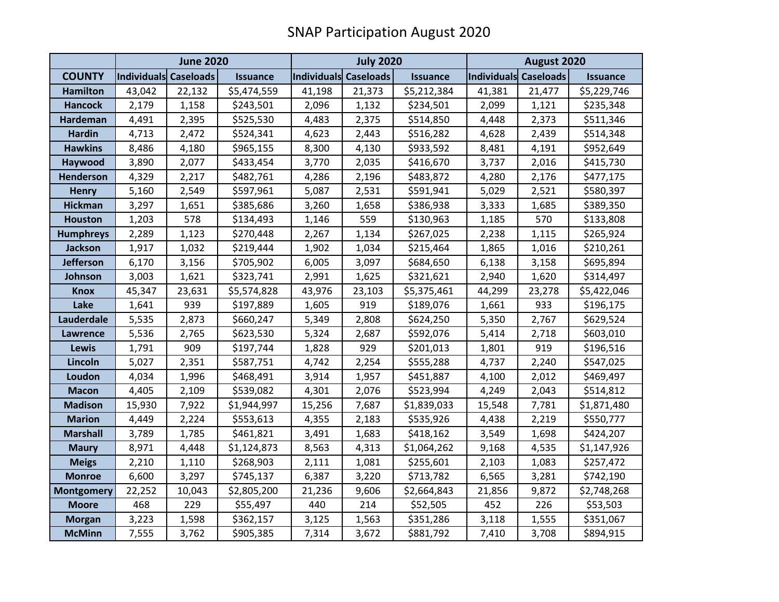|                   | <b>June 2020</b>             |        |                 | <b>July 2020</b>             |        |                 | August 2020           |        |                 |
|-------------------|------------------------------|--------|-----------------|------------------------------|--------|-----------------|-----------------------|--------|-----------------|
| <b>COUNTY</b>     | <b>Individuals Caseloads</b> |        | <b>Issuance</b> | <b>Individuals Caseloads</b> |        | <b>Issuance</b> | Individuals Caseloads |        | <b>Issuance</b> |
| <b>Hamilton</b>   | 43,042                       | 22,132 | \$5,474,559     | 41,198                       | 21,373 | \$5,212,384     | 41,381                | 21,477 | \$5,229,746     |
| <b>Hancock</b>    | 2,179                        | 1,158  | \$243,501       | 2,096                        | 1,132  | \$234,501       | 2,099                 | 1,121  | \$235,348       |
| <b>Hardeman</b>   | 4,491                        | 2,395  | \$525,530       | 4,483                        | 2,375  | \$514,850       | 4,448                 | 2,373  | \$511,346       |
| <b>Hardin</b>     | 4,713                        | 2,472  | \$524,341       | 4,623                        | 2,443  | \$516,282       | 4,628                 | 2,439  | \$514,348       |
| <b>Hawkins</b>    | 8,486                        | 4,180  | \$965,155       | 8,300                        | 4,130  | \$933,592       | 8,481                 | 4,191  | \$952,649       |
| Haywood           | 3,890                        | 2,077  | \$433,454       | 3,770                        | 2,035  | \$416,670       | 3,737                 | 2,016  | \$415,730       |
| <b>Henderson</b>  | 4,329                        | 2,217  | \$482,761       | 4,286                        | 2,196  | \$483,872       | 4,280                 | 2,176  | \$477,175       |
| <b>Henry</b>      | 5,160                        | 2,549  | \$597,961       | 5,087                        | 2,531  | \$591,941       | 5,029                 | 2,521  | \$580,397       |
| <b>Hickman</b>    | 3,297                        | 1,651  | \$385,686       | 3,260                        | 1,658  | \$386,938       | 3,333                 | 1,685  | \$389,350       |
| <b>Houston</b>    | 1,203                        | 578    | \$134,493       | 1,146                        | 559    | \$130,963       | 1,185                 | 570    | \$133,808       |
| <b>Humphreys</b>  | 2,289                        | 1,123  | \$270,448       | 2,267                        | 1,134  | \$267,025       | 2,238                 | 1,115  | \$265,924       |
| <b>Jackson</b>    | 1,917                        | 1,032  | \$219,444       | 1,902                        | 1,034  | \$215,464       | 1,865                 | 1,016  | \$210,261       |
| Jefferson         | 6,170                        | 3,156  | \$705,902       | 6,005                        | 3,097  | \$684,650       | 6,138                 | 3,158  | \$695,894       |
| Johnson           | 3,003                        | 1,621  | \$323,741       | 2,991                        | 1,625  | \$321,621       | 2,940                 | 1,620  | \$314,497       |
| <b>Knox</b>       | 45,347                       | 23,631 | \$5,574,828     | 43,976                       | 23,103 | \$5,375,461     | 44,299                | 23,278 | \$5,422,046     |
| Lake              | 1,641                        | 939    | \$197,889       | 1,605                        | 919    | \$189,076       | 1,661                 | 933    | \$196,175       |
| Lauderdale        | 5,535                        | 2,873  | \$660,247       | 5,349                        | 2,808  | \$624,250       | 5,350                 | 2,767  | \$629,524       |
| <b>Lawrence</b>   | 5,536                        | 2,765  | \$623,530       | 5,324                        | 2,687  | \$592,076       | 5,414                 | 2,718  | \$603,010       |
| <b>Lewis</b>      | 1,791                        | 909    | \$197,744       | 1,828                        | 929    | \$201,013       | 1,801                 | 919    | \$196,516       |
| Lincoln           | 5,027                        | 2,351  | \$587,751       | 4,742                        | 2,254  | \$555,288       | 4,737                 | 2,240  | \$547,025       |
| Loudon            | 4,034                        | 1,996  | \$468,491       | 3,914                        | 1,957  | \$451,887       | 4,100                 | 2,012  | \$469,497       |
| <b>Macon</b>      | 4,405                        | 2,109  | \$539,082       | 4,301                        | 2,076  | \$523,994       | 4,249                 | 2,043  | \$514,812       |
| <b>Madison</b>    | 15,930                       | 7,922  | \$1,944,997     | 15,256                       | 7,687  | \$1,839,033     | 15,548                | 7,781  | \$1,871,480     |
| <b>Marion</b>     | 4,449                        | 2,224  | \$553,613       | 4,355                        | 2,183  | \$535,926       | 4,438                 | 2,219  | \$550,777       |
| <b>Marshall</b>   | 3,789                        | 1,785  | \$461,821       | 3,491                        | 1,683  | \$418,162       | 3,549                 | 1,698  | \$424,207       |
| <b>Maury</b>      | 8,971                        | 4,448  | \$1,124,873     | 8,563                        | 4,313  | \$1,064,262     | 9,168                 | 4,535  | \$1,147,926     |
| <b>Meigs</b>      | 2,210                        | 1,110  | \$268,903       | 2,111                        | 1,081  | \$255,601       | 2,103                 | 1,083  | \$257,472       |
| <b>Monroe</b>     | 6,600                        | 3,297  | \$745,137       | 6,387                        | 3,220  | \$713,782       | 6,565                 | 3,281  | \$742,190       |
| <b>Montgomery</b> | 22,252                       | 10,043 | \$2,805,200     | 21,236                       | 9,606  | \$2,664,843     | 21,856                | 9,872  | \$2,748,268     |
| <b>Moore</b>      | 468                          | 229    | \$55,497        | 440                          | 214    | \$52,505        | 452                   | 226    | \$53,503        |
| <b>Morgan</b>     | 3,223                        | 1,598  | \$362,157       | 3,125                        | 1,563  | \$351,286       | 3,118                 | 1,555  | \$351,067       |
| <b>McMinn</b>     | 7,555                        | 3,762  | \$905,385       | 7,314                        | 3,672  | \$881,792       | 7,410                 | 3,708  | \$894,915       |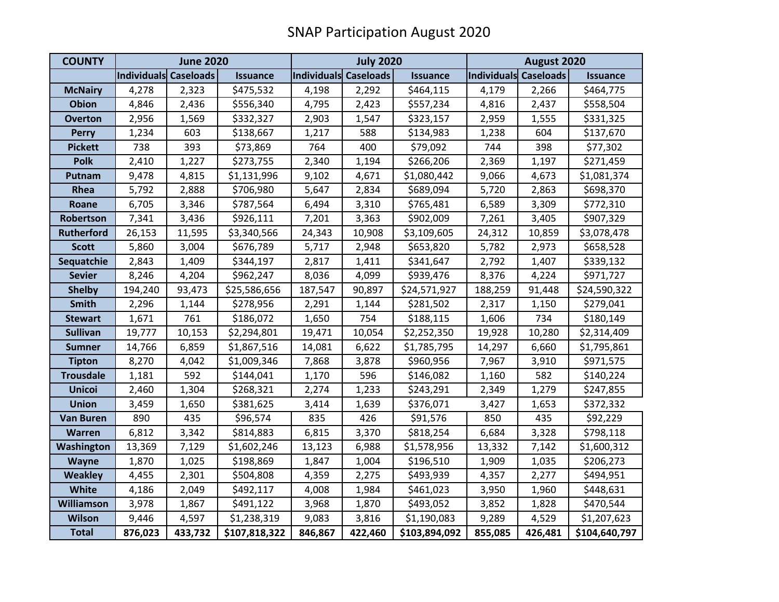| <b>COUNTY</b>     | <b>June 2020</b>      |         |                 | <b>July 2020</b>      |         |                 | August 2020           |         |                 |
|-------------------|-----------------------|---------|-----------------|-----------------------|---------|-----------------|-----------------------|---------|-----------------|
|                   | Individuals Caseloads |         | <b>Issuance</b> | Individuals Caseloads |         | <b>Issuance</b> | Individuals Caseloads |         | <b>Issuance</b> |
| <b>McNairy</b>    | 4,278                 | 2,323   | \$475,532       | 4,198                 | 2,292   | \$464,115       | 4,179                 | 2,266   | \$464,775       |
| <b>Obion</b>      | 4,846                 | 2,436   | \$556,340       | 4,795                 | 2,423   | \$557,234       | 4,816                 | 2,437   | \$558,504       |
| <b>Overton</b>    | 2,956                 | 1,569   | \$332,327       | 2,903                 | 1,547   | \$323,157       | 2,959                 | 1,555   | \$331,325       |
| <b>Perry</b>      | 1,234                 | 603     | \$138,667       | 1,217                 | 588     | \$134,983       | 1,238                 | 604     | \$137,670       |
| <b>Pickett</b>    | 738                   | 393     | \$73,869        | 764                   | 400     | \$79,092        | 744                   | 398     | \$77,302        |
| <b>Polk</b>       | 2,410                 | 1,227   | \$273,755       | 2,340                 | 1,194   | \$266,206       | 2,369                 | 1,197   | \$271,459       |
| Putnam            | 9,478                 | 4,815   | \$1,131,996     | 9,102                 | 4,671   | \$1,080,442     | 9,066                 | 4,673   | \$1,081,374     |
| Rhea              | 5,792                 | 2,888   | \$706,980       | 5,647                 | 2,834   | \$689,094       | 5,720                 | 2,863   | \$698,370       |
| Roane             | 6,705                 | 3,346   | \$787,564       | 6,494                 | 3,310   | \$765,481       | 6,589                 | 3,309   | \$772,310       |
| Robertson         | 7,341                 | 3,436   | \$926,111       | 7,201                 | 3,363   | \$902,009       | 7,261                 | 3,405   | \$907,329       |
| <b>Rutherford</b> | 26,153                | 11,595  | \$3,340,566     | 24,343                | 10,908  | \$3,109,605     | 24,312                | 10,859  | \$3,078,478     |
| <b>Scott</b>      | 5,860                 | 3,004   | \$676,789       | 5,717                 | 2,948   | \$653,820       | 5,782                 | 2,973   | \$658,528       |
| Sequatchie        | 2,843                 | 1,409   | \$344,197       | 2,817                 | 1,411   | \$341,647       | 2,792                 | 1,407   | \$339,132       |
| <b>Sevier</b>     | 8,246                 | 4,204   | \$962,247       | 8,036                 | 4,099   | \$939,476       | 8,376                 | 4,224   | \$971,727       |
| <b>Shelby</b>     | 194,240               | 93,473  | \$25,586,656    | 187,547               | 90,897  | \$24,571,927    | 188,259               | 91,448  | \$24,590,322    |
| <b>Smith</b>      | 2,296                 | 1,144   | \$278,956       | 2,291                 | 1,144   | \$281,502       | 2,317                 | 1,150   | \$279,041       |
| <b>Stewart</b>    | 1,671                 | 761     | \$186,072       | 1,650                 | 754     | \$188,115       | 1,606                 | 734     | \$180,149       |
| <b>Sullivan</b>   | 19,777                | 10,153  | \$2,294,801     | 19,471                | 10,054  | \$2,252,350     | 19,928                | 10,280  | \$2,314,409     |
| <b>Sumner</b>     | 14,766                | 6,859   | \$1,867,516     | 14,081                | 6,622   | \$1,785,795     | 14,297                | 6,660   | \$1,795,861     |
| <b>Tipton</b>     | 8,270                 | 4,042   | \$1,009,346     | 7,868                 | 3,878   | \$960,956       | 7,967                 | 3,910   | \$971,575       |
| <b>Trousdale</b>  | 1,181                 | 592     | \$144,041       | 1,170                 | 596     | \$146,082       | 1,160                 | 582     | \$140,224       |
| <b>Unicoi</b>     | 2,460                 | 1,304   | \$268,321       | 2,274                 | 1,233   | \$243,291       | 2,349                 | 1,279   | \$247,855       |
| <b>Union</b>      | 3,459                 | 1,650   | \$381,625       | 3,414                 | 1,639   | \$376,071       | 3,427                 | 1,653   | \$372,332       |
| <b>Van Buren</b>  | 890                   | 435     | \$96,574        | 835                   | 426     | \$91,576        | 850                   | 435     | \$92,229        |
| <b>Warren</b>     | 6,812                 | 3,342   | \$814,883       | 6,815                 | 3,370   | \$818,254       | 6,684                 | 3,328   | \$798,118       |
| Washington        | 13,369                | 7,129   | \$1,602,246     | 13,123                | 6,988   | \$1,578,956     | 13,332                | 7,142   | \$1,600,312     |
| Wayne             | 1,870                 | 1,025   | \$198,869       | 1,847                 | 1,004   | \$196,510       | 1,909                 | 1,035   | \$206,273       |
| <b>Weakley</b>    | 4,455                 | 2,301   | \$504,808       | 4,359                 | 2,275   | \$493,939       | 4,357                 | 2,277   | \$494,951       |
| <b>White</b>      | 4,186                 | 2,049   | \$492,117       | 4,008                 | 1,984   | \$461,023       | 3,950                 | 1,960   | \$448,631       |
| <b>Williamson</b> | 3,978                 | 1,867   | \$491,122       | 3,968                 | 1,870   | \$493,052       | 3,852                 | 1,828   | \$470,544       |
| <b>Wilson</b>     | 9,446                 | 4,597   | \$1,238,319     | 9,083                 | 3,816   | \$1,190,083     | 9,289                 | 4,529   | \$1,207,623     |
| <b>Total</b>      | 876,023               | 433,732 | \$107,818,322   | 846,867               | 422,460 | \$103,894,092   | 855,085               | 426,481 | \$104,640,797   |